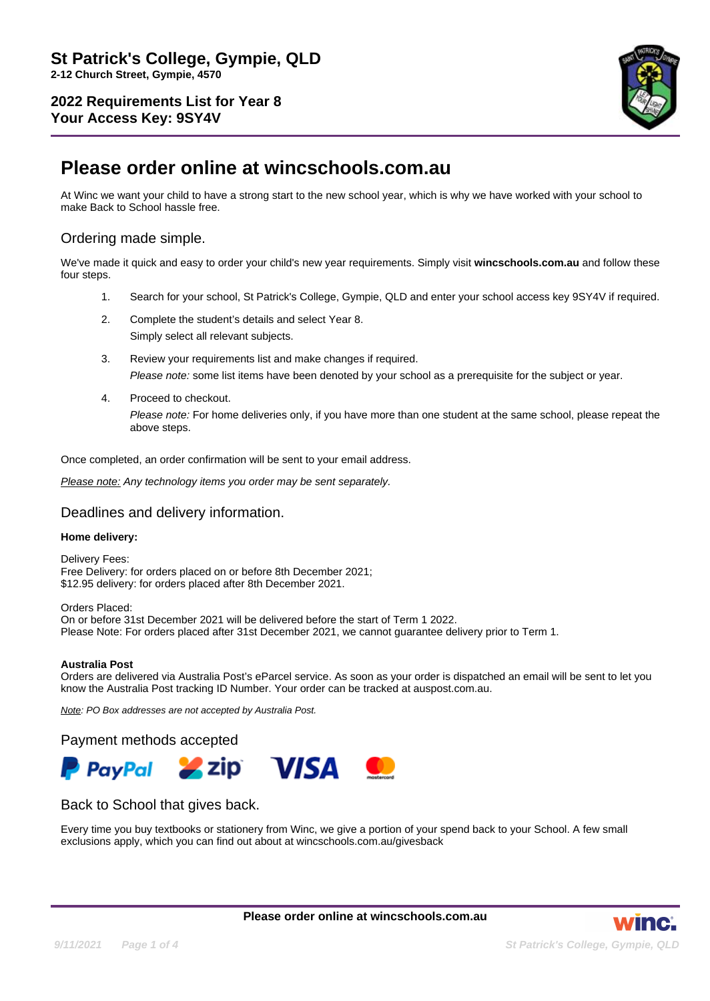

# **Please order online at wincschools.com.au**

At Winc we want your child to have a strong start to the new school year, which is why we have worked with your school to make Back to School hassle free.

# Ordering made simple.

We've made it quick and easy to order your child's new year requirements. Simply visit **wincschools.com.au** and follow these four steps.

- 1. Search for your school, St Patrick's College, Gympie, QLD and enter your school access key 9SY4V if required.
- 2. Complete the student's details and select Year 8.

Simply select all relevant subjects.

- 3. Review your requirements list and make changes if required. Please note: some list items have been denoted by your school as a prerequisite for the subject or year.
- 4. Proceed to checkout. Please note: For home deliveries only, if you have more than one student at the same school, please repeat the above steps.

Once completed, an order confirmation will be sent to your email address.

Please note: Any technology items you order may be sent separately.

### Deadlines and delivery information.

### **Home delivery:**

Delivery Fees: Free Delivery: for orders placed on or before 8th December 2021; \$12.95 delivery: for orders placed after 8th December 2021.

Orders Placed: On or before 31st December 2021 will be delivered before the start of Term 1 2022. Please Note: For orders placed after 31st December 2021, we cannot guarantee delivery prior to Term 1.

#### **Australia Post**

Orders are delivered via Australia Post's eParcel service. As soon as your order is dispatched an email will be sent to let you know the Australia Post tracking ID Number. Your order can be tracked at auspost.com.au.

Note: PO Box addresses are not accepted by Australia Post.

Payment methods accepted



### Back to School that gives back.

Every time you buy textbooks or stationery from Winc, we give a portion of your spend back to your School. A few small exclusions apply, which you can find out about at wincschools.com.au/givesback

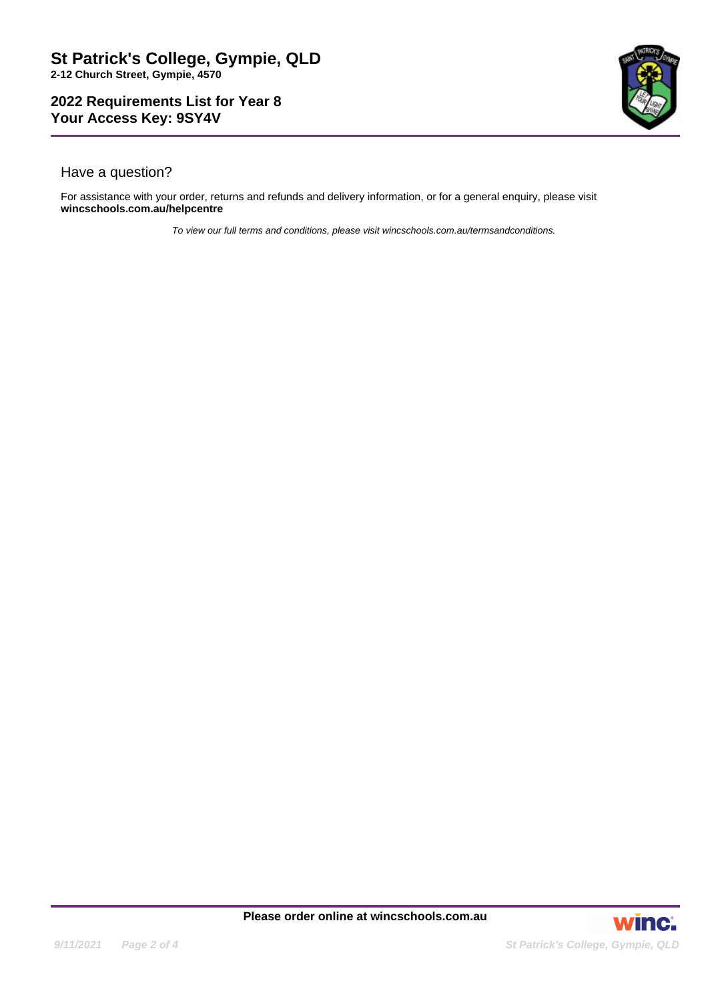

# Have a question?

For assistance with your order, returns and refunds and delivery information, or for a general enquiry, please visit **wincschools.com.au/helpcentre**

To view our full terms and conditions, please visit wincschools.com.au/termsandconditions.

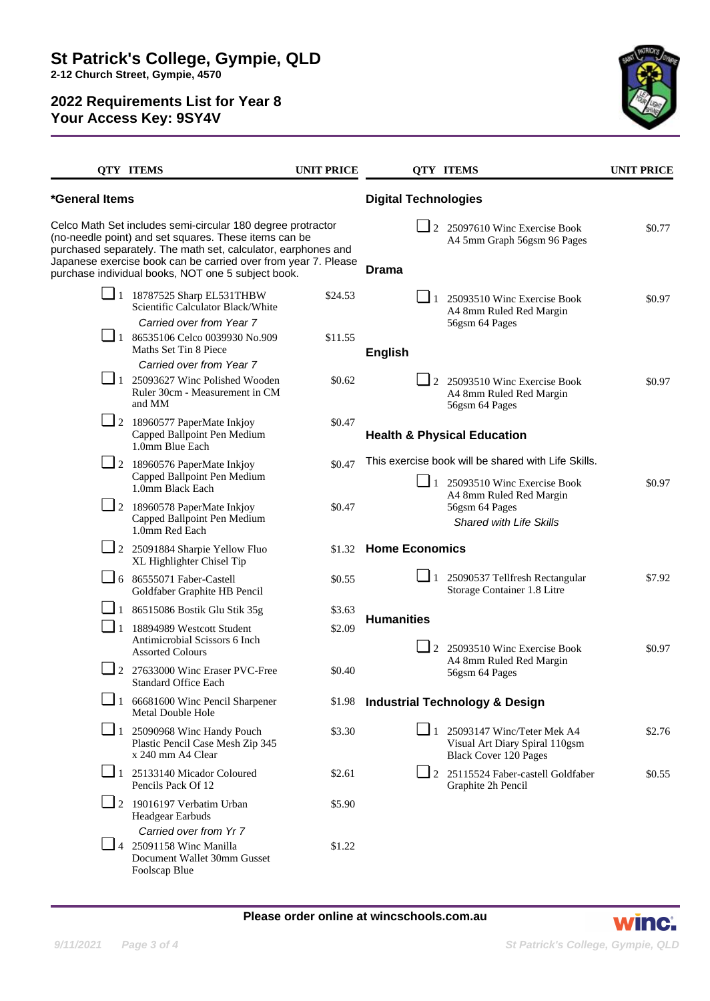

|                                                                                                                                                                                                                                                                                                               | <b>QTY ITEMS</b>                                                                            | <b>UNIT PRICE</b> |                                                                               | <b>QTY ITEMS</b>                                                                                                            | <b>UNIT PRICE</b> |
|---------------------------------------------------------------------------------------------------------------------------------------------------------------------------------------------------------------------------------------------------------------------------------------------------------------|---------------------------------------------------------------------------------------------|-------------------|-------------------------------------------------------------------------------|-----------------------------------------------------------------------------------------------------------------------------|-------------------|
| *General Items                                                                                                                                                                                                                                                                                                |                                                                                             |                   | <b>Digital Technologies</b>                                                   |                                                                                                                             |                   |
| Celco Math Set includes semi-circular 180 degree protractor<br>(no-needle point) and set squares. These items can be<br>purchased separately. The math set, calculator, earphones and<br>Japanese exercise book can be carried over from year 7. Please<br>purchase individual books, NOT one 5 subject book. |                                                                                             |                   | <b>Drama</b>                                                                  | 2 25097610 Winc Exercise Book<br>A4 5mm Graph 56gsm 96 Pages                                                                | \$0.77            |
|                                                                                                                                                                                                                                                                                                               | $\Box$ 18787525 Sharp EL531THBW<br>Scientific Calculator Black/White                        | \$24.53           | $\Box$ 1                                                                      | 25093510 Winc Exercise Book<br>A4 8mm Ruled Red Margin                                                                      | \$0.97            |
|                                                                                                                                                                                                                                                                                                               | Carried over from Year 7<br>$\Box$ 1 86535106 Celco 0039930 No.909<br>Maths Set Tin 8 Piece | \$11.55           | 56gsm 64 Pages<br><b>English</b>                                              |                                                                                                                             |                   |
|                                                                                                                                                                                                                                                                                                               | Carried over from Year 7                                                                    |                   |                                                                               |                                                                                                                             |                   |
|                                                                                                                                                                                                                                                                                                               | $\Box$ 1 25093627 Winc Polished Wooden<br>Ruler 30cm - Measurement in CM<br>and MM          | \$0.62            |                                                                               | $\Box$ 2 25093510 Winc Exercise Book<br>A4 8mm Ruled Red Margin<br>56gsm 64 Pages                                           | \$0.97            |
|                                                                                                                                                                                                                                                                                                               | 2 18960577 PaperMate Inkjoy<br>Capped Ballpoint Pen Medium<br>1.0mm Blue Each               | \$0.47            | <b>Health &amp; Physical Education</b>                                        |                                                                                                                             |                   |
|                                                                                                                                                                                                                                                                                                               | 2 18960576 PaperMate Inkjoy                                                                 | \$0.47            |                                                                               | This exercise book will be shared with Life Skills.                                                                         |                   |
|                                                                                                                                                                                                                                                                                                               | Capped Ballpoint Pen Medium<br>1.0mm Black Each                                             |                   |                                                                               | $\boxed{\phantom{0}}$ 1 25093510 Winc Exercise Book<br>A4 8mm Ruled Red Margin<br>56gsm 64 Pages<br>Shared with Life Skills | \$0.97            |
|                                                                                                                                                                                                                                                                                                               | $\Box$ 2 18960578 PaperMate Inkjoy<br>Capped Ballpoint Pen Medium<br>1.0mm Red Each         | \$0.47            |                                                                               |                                                                                                                             |                   |
|                                                                                                                                                                                                                                                                                                               | 2 25091884 Sharpie Yellow Fluo<br>XL Highlighter Chisel Tip                                 |                   | \$1.32 Home Economics                                                         |                                                                                                                             |                   |
|                                                                                                                                                                                                                                                                                                               | $\Box$ 6 86555071 Faber-Castell<br>Goldfaber Graphite HB Pencil                             | \$0.55            | $\Box$ 1                                                                      | 25090537 Tellfresh Rectangular<br>Storage Container 1.8 Litre                                                               | \$7.92            |
|                                                                                                                                                                                                                                                                                                               | $\Box$ 1 86515086 Bostik Glu Stik 35g                                                       | \$3.63            |                                                                               |                                                                                                                             |                   |
| $\sqcup$ 1                                                                                                                                                                                                                                                                                                    | 18894989 Westcott Student                                                                   | \$2.09            | <b>Humanities</b><br>2 25093510 Winc Exercise Book<br>A4 8mm Ruled Red Margin |                                                                                                                             |                   |
|                                                                                                                                                                                                                                                                                                               | Antimicrobial Scissors 6 Inch<br><b>Assorted Colours</b>                                    |                   |                                                                               | \$0.97                                                                                                                      |                   |
| $\Box$ 2                                                                                                                                                                                                                                                                                                      | 27633000 Winc Eraser PVC-Free<br><b>Standard Office Each</b>                                | \$0.40            |                                                                               | 56gsm 64 Pages                                                                                                              |                   |
|                                                                                                                                                                                                                                                                                                               | $\blacksquare$ 1 66681600 Winc Pencil Sharpener<br>Metal Double Hole                        |                   |                                                                               | \$1.98 Industrial Technology & Design                                                                                       |                   |
|                                                                                                                                                                                                                                                                                                               | $\Box$ 1 25090968 Winc Handy Pouch<br>Plastic Pencil Case Mesh Zip 345<br>x 240 mm A4 Clear | \$3.30            |                                                                               | $\Box$ 1 25093147 Winc/Teter Mek A4<br>Visual Art Diary Spiral 110gsm<br><b>Black Cover 120 Pages</b>                       | \$2.76            |
|                                                                                                                                                                                                                                                                                                               | $\Box$ 1 25133140 Micador Coloured<br>Pencils Pack Of 12                                    | \$2.61            |                                                                               | $\Box$ 2 25115524 Faber-castell Goldfaber<br>Graphite 2h Pencil                                                             | \$0.55            |
|                                                                                                                                                                                                                                                                                                               | $\Box$ 2 19016197 Verbatim Urban<br>Headgear Earbuds<br>Carried over from Yr 7              | \$5.90            |                                                                               |                                                                                                                             |                   |
|                                                                                                                                                                                                                                                                                                               | $\Box$ 4 25091158 Winc Manilla<br>Document Wallet 30mm Gusset<br>Foolscap Blue              | \$1.22            |                                                                               |                                                                                                                             |                   |